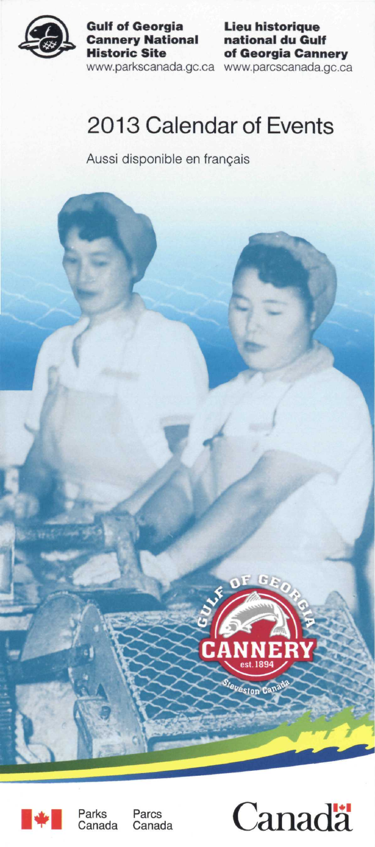

**Gulf of Georgia Cannery National Historic Site** 

[www.parkscanada.gc.ca](http://www.parkscanada.gc.ca)  [www.parcscanada.gc.ca](http://www.parcscanada.gc.ca)  **Lieu historique national du Gulf of Georgia Cannery** 

# 2013 Calendar of Events

Aussi disponible en français





Parks Canada Parcs Canada